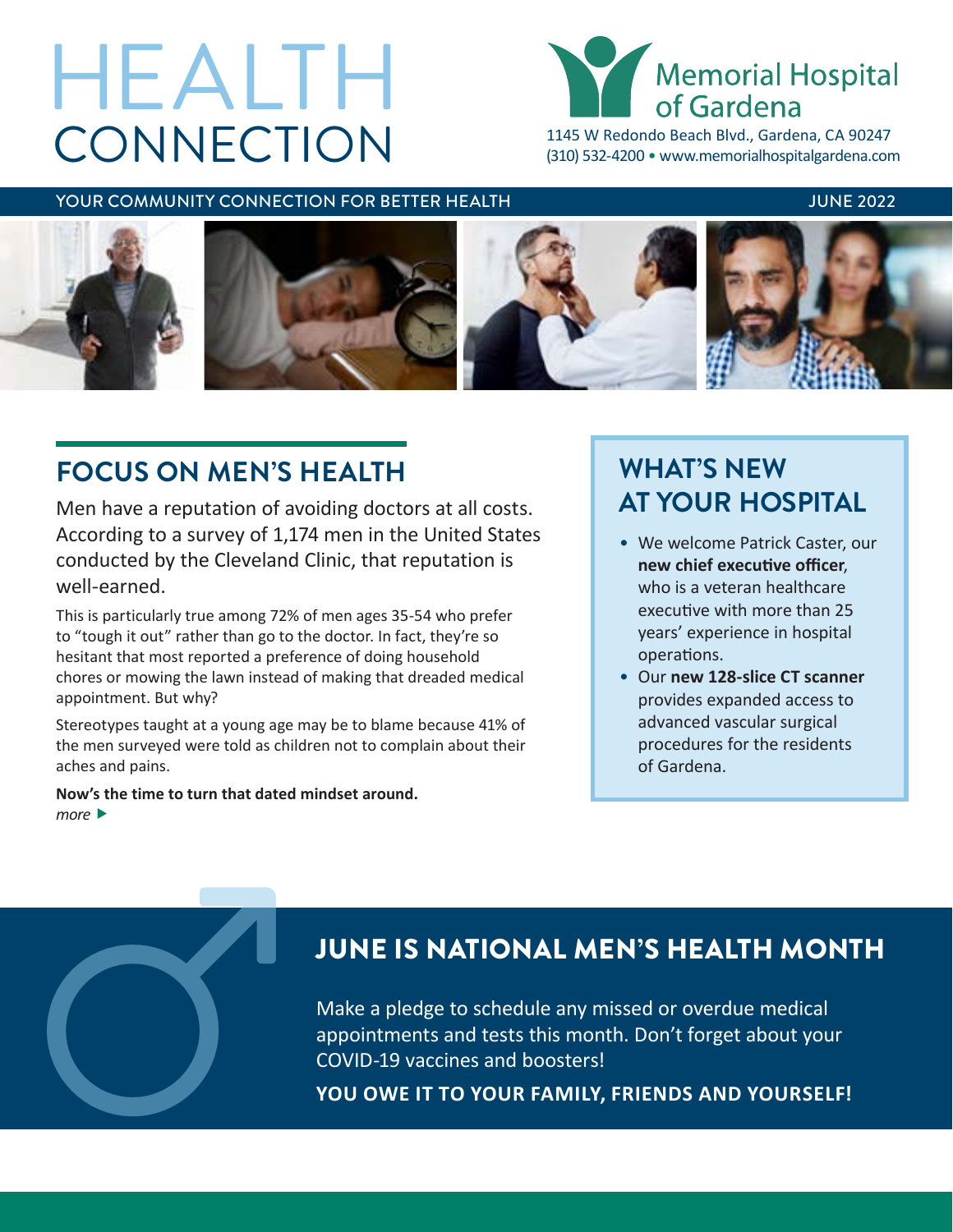# **CONNECTION** HEALTH



1145 W Redondo Beach Blvd., Gardena, CA 90247 (310) 532-4200 • [www.memorialhospitalgardena.com](http://www.memorialhospitalgardena.com)

### YOUR COMMUNITY CONNECTION FOR BETTER HEALTH **The CONNUSSY OF A SET ASSESS** JUNE 2022



# **FOCUS ON MEN'S HEALTH**

Men have a reputation of avoiding doctors at all costs. According to a survey of 1,174 men in the United States conducted by the Cleveland Clinic, that reputation is well-earned.

This is particularly true among 72% of men ages 35-54 who prefer to "tough it out" rather than go to the doctor. In fact, they're so hesitant that most reported a preference of doing household chores or mowing the lawn instead of making that dreaded medical appointment. But why?

Stereotypes taught at a young age may be to blame because 41% of the men surveyed were told as children not to complain about their aches and pains.

**Now's the time to turn that dated mindset around.** *more* 

# **WHAT'S NEW AT YOUR HOSPITAL**

- We welcome Patrick Caster, our **new chief executive officer**, who is a veteran healthcare executive with more than 25 years' experience in hospital operations.
- Our **new 128-slice CT scanner** provides expanded access to advanced vascular surgical procedures for the residents of Gardena.

## JUNE IS NATIONAL MEN'S HEALTH MONTH

Make a pledge to schedule any missed or overdue medical appointments and tests this month. Don't forget about your JUNE IS NATIONAL MEN'S HEALTH MON<sup>W</sup><br>Make a pledge to schedule any missed or overdue medical<br>appointments and tests this month. Don't forget about your<br>COVID-19 vaccines and boosters!<br>YOU OWE IT TO YOUR FAMILY, FRIENDS AND